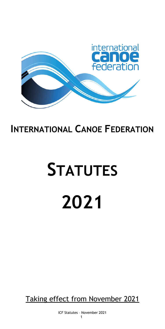

# **INTERNATIONAL CANOE FEDERATION**

# **STATUTES 2021**

Taking effect from November 2021

ICF Statutes – November 2021 1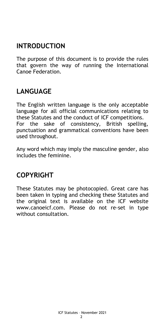# **INTRODUCTION**

The purpose of this document is to provide the rules that govern the way of running the International Canoe Federation.

# **LANGUAGE**

The English written language is the only acceptable language for all official communications relating to these Statutes and the conduct of ICF competitions. For the sake of consistency, British spelling, punctuation and grammatical conventions have been used throughout.

Any word which may imply the masculine gender, also includes the feminine.

# **COPYRIGHT**

These Statutes may be photocopied. Great care has been taken in typing and checking these Statutes and the original text is available on the ICF website [www.canoeicf.com.](http://www.canoeicf.com/) Please do not re-set in type without consultation.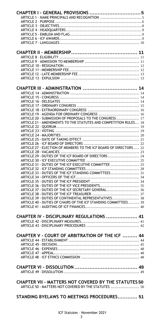| CHAPTER I - GENERAL PROVISIONS  5                                                                                           |  |
|-----------------------------------------------------------------------------------------------------------------------------|--|
|                                                                                                                             |  |
|                                                                                                                             |  |
|                                                                                                                             |  |
|                                                                                                                             |  |
|                                                                                                                             |  |
|                                                                                                                             |  |
|                                                                                                                             |  |
|                                                                                                                             |  |
|                                                                                                                             |  |
|                                                                                                                             |  |
|                                                                                                                             |  |
|                                                                                                                             |  |
|                                                                                                                             |  |
|                                                                                                                             |  |
|                                                                                                                             |  |
| CHAPTER III - ADMINISTRATION  14                                                                                            |  |
|                                                                                                                             |  |
|                                                                                                                             |  |
|                                                                                                                             |  |
|                                                                                                                             |  |
|                                                                                                                             |  |
| ARTICLE 19 - AGENDA FOR ORDINARY CONGRESS  16                                                                               |  |
| ARTICLE 20 - SUBMISSION OF PROPOSALS TO THE CONGRESS 17<br>ARTICLE 21 - AMENDMENTS TO THE STATUTES AND COMPETITION RULES 18 |  |
|                                                                                                                             |  |
|                                                                                                                             |  |
|                                                                                                                             |  |
|                                                                                                                             |  |
|                                                                                                                             |  |
| ARTICLE 27 - ELECTION OF MEMBERS TO THE ICF BOARD OF DIRECTORS  22                                                          |  |
|                                                                                                                             |  |
| ARTICLE 29 - DUTIES OF THE ICF BOARD OF DIRECTORS  24                                                                       |  |
|                                                                                                                             |  |
| ARTICLE 31 - DUTIES OF THE ICF EXECUTIVE COMMITTEE  25                                                                      |  |
|                                                                                                                             |  |
| ARTICLE 33 - DUTIES OF THE ICF STANDING COMMITTEES 31                                                                       |  |
|                                                                                                                             |  |
| ARTICLE 36 - DUTIES OF THE ICF VICE PRESIDENTS 35                                                                           |  |
| ARTICLE 37 - DUTIES OF THE ICF SECRETARY GENERAL 36                                                                         |  |
|                                                                                                                             |  |
| ARTICLE 39 - DUTIES OF CONTINENTAL REPRESENTATIVES 38                                                                       |  |
| ARTICLE 40 - DUTIES OF CHAIRS OF THE ICF STANDING COMMITTEES 39                                                             |  |
|                                                                                                                             |  |
|                                                                                                                             |  |
| CHAPTER IV - DISCIPLINARY REGULATIONS  41                                                                                   |  |
|                                                                                                                             |  |
|                                                                                                                             |  |
|                                                                                                                             |  |
| <b>CHAPTER V - COURT OF ARBITRATION OF THE ICF  44</b>                                                                      |  |
|                                                                                                                             |  |
|                                                                                                                             |  |
|                                                                                                                             |  |
|                                                                                                                             |  |
|                                                                                                                             |  |
|                                                                                                                             |  |
|                                                                                                                             |  |
|                                                                                                                             |  |
| <b>CHAPTER VII - MATTERS NOT COVERED BY THE STATUTES 50</b>                                                                 |  |
| ARTICLE 50 - MATTERS NOT COVERED BY THE STATUTES  50                                                                        |  |
|                                                                                                                             |  |
| STANDING BYELAWS TO MEETINGS PROCEDURES 51                                                                                  |  |
|                                                                                                                             |  |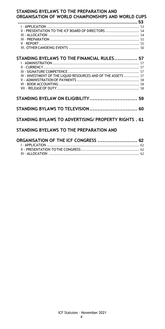| STANDING BYELAWS TO THE PREPARATION AND<br>ORGANISATION OF WORLD CHAMPIONSHIPS AND WORLD CUPS               |
|-------------------------------------------------------------------------------------------------------------|
| II - PRESENTATION TO THE ICF BOARD OF DIRECTORS  54                                                         |
| STANDING BYELAWS TO THE FINANCIAL RULES 57<br>IV - INVESTMENT OF THE LIQUID RESOURCES AND OF THE ASSETS  57 |
| STANDING BYELAW ON ELIGIBILITY 59                                                                           |
| STANDING BYLAWS TO TELEVISION 60                                                                            |
| STANDING BYLAWS TO ADVERTISING/ PROPERTY RIGHTS, 61                                                         |
| STANDING BYELAWS TO THE PREPARATION AND                                                                     |
| ORGANISATION OF THE ICF CONGRESS  62                                                                        |

| JRUANIJATIUN UF TITE IUF LUNUREJJ  04 |  |
|---------------------------------------|--|
|                                       |  |
|                                       |  |
|                                       |  |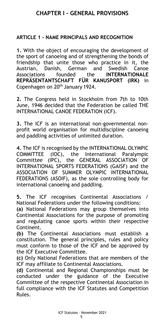# **CHAPTER I - GENERAL PROVISIONS**

#### <span id="page-4-1"></span><span id="page-4-0"></span>**ARTICLE 1 - NAME PRINCIPALS AND RECOGNITION**

**1.** With the object of encouraging the development of the sport of canoeing and of strengthening the bonds of friendship that unite those who practice in it, the Austrian, Danish, German and Swedish Canoe Associations founded the **INTERNATIONALE REPRÄSENTANTSCHAFT FÜR KANUSPORT (IRK)** in Copenhagen on 20<sup>th</sup> January 1924.

**2.** The Congress held in Stockholm from 7th to 10th June, 1946 decided that the Federation be called THE INTERNATIONAL CANOE FEDERATION (ICF).

**3.** The ICF is an international non-governmental nonprofit world organisation for multidiscipline canoeing and paddling activities of unlimited duration.

**4.** The ICF is recognised by the INTERNATIONAL OLYMPIC COMMITTEE (IOC), the International Paralympic Committee (IPC), the GENERAL ASSOCIATION OF INTERNATIONAL SPORTS FEDERATIONS (GAISF) and the ASSOCIATION OF SUMMER OLYMPIC INTERNATIONAL FEDERATIONS (ASOIF), as the sole controlling body for international canoeing and paddling.

**5.** The ICF recognises Continental Associations / National Federations under the following conditions:

**(a)** National Federations may group themselves into Continental Associations for the purpose of promoting and regulating canoe sports within their respective Continent.

**(b)** The Continental Associations must establish a constitution. The general principles, rules and policy must conform to those of the ICF and be approved by the ICF Executive Committee.

**(c)** Only National Federations that are members of the ICF may affiliate to Continental Associations.

**(d)** Continental and Regional Championships must be conducted under the guidance of the Executive Committee of the respective Continental Association in full compliance with the ICF Statutes and Competition Rules.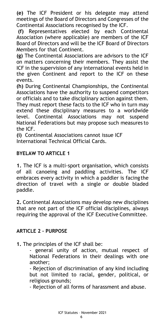**(e)** The ICF President or his delegate may attend meetings of the Board of Directors and Congresses of the Continental Associations recognised by the ICF.

**(f)** Representatives elected by each Continental Association (where applicable) are members of the ICF Board of Directors and will be the ICF Board of Directors Members for that Continent.

**(g)** The Continental Associations are advisors to the ICF on matters concerning their members. They assist the ICF in the supervision of any international events held in the given Continent and report to the ICF on these events.

**(h)** During Continental Championships, the Continental Associations have the authority to suspend competitors or officials and to take disciplinary action against them. They must report these facts to the ICF who in turn may extend these disciplinary measures to a worldwide level. Continental Associations may not suspend National Federations but may propose such measures to the ICF.

**(i)** Continental Associations cannot issue ICF International Technical Official Cards.

#### **BYELAW TO ARTICLE 1**

**1.** The ICF is a multi-sport organisation, which consists of all canoeing and paddling activities. The ICF embraces every activity in which a paddler is facingthe direction of travel with a single or double bladed paddle.

**2.** Continental Associations may develop new disciplines that are not part of the ICF official disciplines, always requiring the approval of the ICF Executive Committee.

#### <span id="page-5-0"></span>**ARTICLE 2 – PURPOSE**

**1.** The principles of the ICF shall be:

general unity of action, mutual respect of National Federations in their dealings with one another;

- Rejection of discrimination of any kind including but not limited to racial, gender, political, or religious grounds;

- Rejection of all forms of harassment and abuse.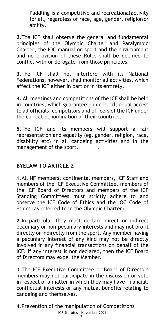Paddling is a competitive and recreationalactivity for all, regardless of race, age, gender, religion or ability.

**2.**The ICF shall observe the general and fundamental principles of the Olympic Charter and Paralympic Charter, the IOC manual on sport and the environment and no provision of these Rules shall be deemed to conflict with or derogate from those principles.

**3.**The ICF shall not interfere with its National Federations, however, shall monitor all activities, which affect the ICF either in part or in its entirety.

**4.** All meetings and competitions of the ICF shall be held in countries, which guarantee unhindered, equal access to all officials, competitors and officers of the ICF under the correct denomination of their countries.

**5.**The ICF and its members will support a fair representation and equality (eg. gender, religion, race, disability etc) in all canoeing activities and in the management of the sport. .

#### **BYELAW TO ARTICLE 2**

**1.**All NF members, continental members, ICF Staff and members of the ICF Executive Committee, members of the ICF Board of Directors and members of the ICF Standing Committees must strictly adhere to and observe the ICF Code of Ethics and the IOC Code of Ethics (as referred to in the Olympic Charter).

**2.**In particular they must declare direct or indirect pecuniary or non-pecuniary interests and may not profit directly or indirectly from the sport. Any member having a pecuniary interest of any kind may not be directly involved in any financial transactions on behalf of the ICF. If any interest is not declared, then the ICF Board of Directors may expel the Member.

**3.**The ICF Executive Committee or Board of Directors members may not participate in the discussion or vote in respect of a matter in which they may have financial, conflictual interests or any mutual benefits relating to canoeing and themselves.

**4.**Prevention of the manipulation of Competitions

#### ICF Statutes – November 2021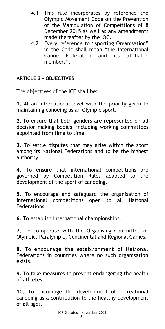- 4.1 This rule incorporates by reference the Olympic Movement Code on the Prevention of the Manipulation of Competitions of 8 December 2015 as well as any amendments made thereafter by the IOC.
- 4.2 Every reference to "sporting Organisation" in the Code shall mean "the International Canoe Federation and its affiliated members".

#### <span id="page-7-0"></span>**ARTICLE 3 – OBJECTIVES**

The objectives of the ICF shall be:

**1.** At an international level with the priority given to maintaining canoeing as an Olympic sport.

**2.** To ensure that both genders are represented on all decision-making bodies, including working committees appointed from time to time.

**3.** To settle disputes that may arise within the sport among its National Federations and to be the highest authority.

**4.** To ensure that international competitions are governed by Competition Rules adapted to the development of the sport of canoeing.

**5.** To encourage and safeguard the organisation of international competitions open to all National Federations.

**6.** To establish international championships.

**7.** To co-operate with the Organising Committee of Olympic, Paralympic, Continental and Regional Games.

**8.** To encourage the establishment of National Federations in countries where no such organisation exists.

**9.** To take measures to prevent endangering the health of athletes.

**10.** To encourage the development of recreational canoeing as a contribution to the healthy development of all ages.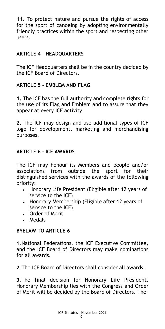**11.** To protect nature and pursue the rights of access for the sport of canoeing by adopting environmentally friendly practices within the sport and respecting other users.

## <span id="page-8-0"></span>**ARTICLE 4 – HEADQUARTERS**

The ICF Headquarters shall be in the country decided by the ICF Board of Directors.

#### <span id="page-8-1"></span>**ARTICLE 5 - EMBLEM AND FLAG**

**1.** The ICF has the full authority and complete rights for the use of its Flag and Emblem and to assure that they appear at every ICF activity.

**2.** The ICF may design and use additional types of ICF logo for development, marketing and merchandising purposes.

#### <span id="page-8-2"></span>**ARTICLE 6 - ICF AWARDS**

The ICF may honour its Members and people and/or associations from outside the sport for their distinguished services with the awards of the following priority:

- Honorary Life President (Eligible after 12 years of service to the ICF)
- Honorary Membership (Eligible after 12 years of service to the ICF)
- Order of Merit
- Medals

#### **BYELAW TO ARTICLE 6**

**1.**National Federations, the ICF Executive Committee, and the ICF Board of Directors may make nominations for all awards.

**2.**The ICF Board of Directors shall consider all awards.

**3.**The final decision for Honorary Life President, Honorary Membership lies with the Congress and Order of Merit will be decided by the Board of Directors. The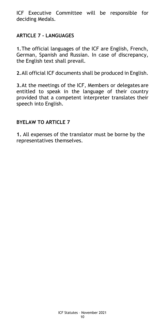ICF Executive Committee will be responsible for deciding Medals.

#### <span id="page-9-0"></span>**ARTICLE 7 - LANGUAGES**

**1.**The official languages of the ICF are English, French, German, Spanish and Russian. In case of discrepancy, the English text shall prevail.

**2.**All official ICF documents shall be produced in English.

**3.**At the meetings of the ICF, Members or delegates are entitled to speak in the language of their country provided that a competent interpreter translates their speech into English.

#### **BYELAW TO ARTICLE 7**

**1.** All expenses of the translator must be borne by the representatives themselves.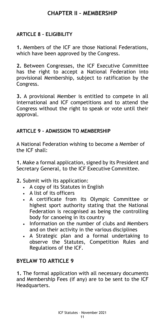# **CHAPTER II – MEMBERSHIP**

# <span id="page-10-1"></span><span id="page-10-0"></span>**ARTICLE 8 – ELIGIBILITY**

**1.** Members of the ICF are those National Federations, which have been approved by the Congress.

**2.** Between Congresses, the ICF Executive Committee has the right to accept a National Federation into provisional Membership, subject to ratification by the Congress.

**3.** A provisional Member is entitled to compete in all international and ICF competitions and to attend the Congress without the right to speak or vote until their approval.

#### <span id="page-10-2"></span>**ARTICLE 9 - ADMISSION TO MEMBERSHIP**

A National Federation wishing to become a Member of the ICF shall:

**1.** Make a formal application, signed by its President and Secretary General, to the ICF Executive Committee.

- **2.** Submit with its application:
	- A copy of its Statutes in English
	- A list of its officers
	- A certificate from its Olympic Committee or highest sport authority stating that the National Federation is recognised as being the controlling body for canoeing in its country
	- Information on the number of clubs and Members and on their activity in the various disciplines
	- A Strategic plan and a formal undertaking to observe the Statutes, Competition Rules and Regulations of the ICF.

# **BYELAW TO ARTICLE 9**

**1.** The formal application with all necessary documents and Membership Fees (if any) are to be sent to the ICF Headquarters.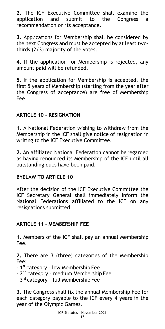**2.** The ICF Executive Committee shall examine the application and submit to the Congress a recommendation on its acceptance.

**3.** Applications for Membership shall be considered by the next Congress and must be accepted by at least twothirds (2/3) majority of the votes.

**4.** If the application for Membership is rejected, any amount paid will be refunded.

**5.** If the application for Membership is accepted, the first 5 years of Membership (starting from the year after the Congress of acceptance) are free of Membership Fee.

# <span id="page-11-0"></span>**ARTICLE 10 - RESIGNATION**

**1.** A National Federation wishing to withdraw from the Membership in the ICF shall give notice of resignation in writing to the ICF Executive Committee.

**2.** An affiliated National Federation cannot be regarded as having renounced its Membership of the ICF until all outstanding dues have been paid.

#### **BYELAW TO ARTICLE 10**

After the decision of the ICF Executive Committee the ICF Secretary General shall immediately inform the National Federations affiliated to the ICF on any resignations submitted.

#### <span id="page-11-1"></span>**ARTICLE 11 - MEMBERSHIP FEE**

**1.** Members of the ICF shall pay an annual Membership Fee.

**2.** There are 3 (three) categories of the Membership Fee:

- 1<sup>st</sup> category low Membership Fee
- 2<sup>nd</sup> category medium Membership Fee
- 3<sup>rd</sup> category full Membership Fee

**3.** The Congress shall fix the annual Membership Fee for each category payable to the ICF every 4 years in the year of the Olympic Games.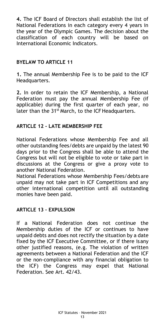**4.** The ICF Board of Directors shall establish the list of National Federations in each category every 4 years in the year of the Olympic Games. The decision about the classification of each country will be based on International Economic Indicators.

## **BYELAW TO ARTICLE 11**

**1.** The annual Membership Fee is to be paid to the ICF Headquarters.

**2.** In order to retain the ICF Membership, a National Federation must pay the annual Membership Fee (if applicable) during the first quarter of each year, no later than the 31<sup>st</sup> March, to the ICF Headquarters.

#### <span id="page-12-0"></span>**ARTICLE 12 - LATE MEMBERSHIP FEE**

National Federations whose Membership Fee and all other outstanding fees/debts are unpaid by the latest 90 days prior to the Congress shall be able to attend the Congress but will not be eligible to vote or take part in discussions at the Congress or give a proxy vote to another National Federation.

National Federations whose Membership Fees/debts are unpaid may not take part in ICF Competitions and any other international competition until all outstanding monies have been paid.

#### <span id="page-12-1"></span>**ARTICLE 13 – EXPULSION**

If a National Federation does not continue the Membership duties of the ICF or continues to have unpaid debts and does not rectify the situation by a date fixed by the ICF Executive Committee, or if there isany other justified reasons, (e.g. The violation of written agreements between a National Federation and the ICF or the non-compliance with any financial obligation to the ICF) the Congress may expel that National Federation. See Art. 42/43.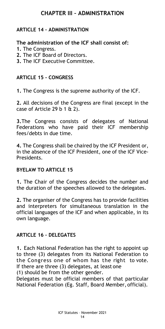# **CHAPTER III – ADMINISTRATION**

# <span id="page-13-1"></span><span id="page-13-0"></span>**ARTICLE 14 – ADMINISTRATION**

#### **The administration of the ICF shall consist of:**

- **1.** The Congress.
- **2.** The ICF Board of Directors.
- **3.** The ICF Executive Committee.

#### <span id="page-13-2"></span>**ARTICLE 15 - CONGRESS**

**1.** The Congress is the supreme authority of the ICF.

**2.** All decisions of the Congress are final (except in the case of Article 29 b 1  $\&$  2).

**3.**The Congress consists of delegates of National Federations who have paid their ICF membership fees/debts in due time.

**4.** The Congress shall be chaired by the ICF President or, in the absence of the ICF President, one of the ICF Vice-Presidents.

#### **BYELAW TO ARTICLE 15**

**1.** The Chair of the Congress decides the number and the duration of the speeches allowed to the delegates.

**2.** The organiser of the Congress has to provide facilities and interpreters for simultaneous translation in the official languages of the ICF and when applicable, in its own language.

#### <span id="page-13-3"></span>**ARTICLE 16 – DELEGATES**

**1.** Each National Federation has the right to appoint up to three (3) delegates from its National Federation to the Congress one of whom has the right to vote. If there are three (3) delegates, at least one

(1) should be from the other gender.

Delegates must be official members of that particular National Federation (Eg. Staff, Board Member, official).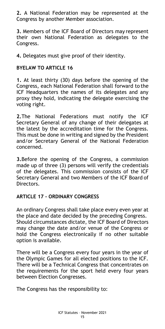**2.** A National Federation may be represented at the Congress by another Member association.

**3.** Members of the ICF Board of Directors may represent their own National Federation as delegates to the Congress.

**4.** Delegates must give proof of their identity.

#### **BYELAW TO ARTICLE 16**

**1.** At least thirty (30) days before the opening of the Congress, each National Federation shall forward to the ICF Headquarters the names of its delegates and any proxy they hold, indicating the delegate exercising the voting right.

**2.**The National Federations must notify the ICF Secretary General of any change of their delegates at the latest by the accreditation time for the Congress. This must be done in writing and signed by the President and/or Secretary General of the National Federation concerned.

**3.**Before the opening of the Congress, a commission made up of three (3) persons will verify the credentials of the delegates. This commission consists of the ICF Secretary General and two Members of the ICF Board of Directors.

#### <span id="page-14-0"></span>**ARTICLE 17 - ORDINARY CONGRESS**

An ordinary Congress shall take place every even year at the place and date decided by the preceding Congress. Should circumstances dictate, the ICF Board of Directors may change the date and/or venue of the Congress or hold the Congress electronically if no other suitable option is available.

There will be a Congress every four years in the year of the Olympic Games for all elected positions to the ICF. There will be a Technical Congress that concentrates on the requirements for the sport held every four years between Election Congresses.

The Congress has the responsibility to: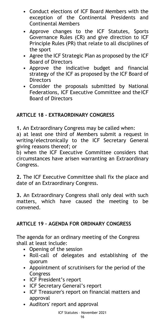- Conduct elections of ICF Board Members with the exception of the Continental Presidents and Continental Members
- Approve changes to the ICF Statutes, Sports Governance Rules (CR) and give direction to ICF Principle Rules (PR) that relate to all disciplines of the sport
- Agree the ICF Strategic Plan as proposed by the ICF Board of Directors
- Approve the indicative budget and financial strategy of the ICF as proposed by the ICF Board of **Directors**
- Consider the proposals submitted by National Federations, ICF Executive Committee and the ICF Board of Directors

# <span id="page-15-0"></span>**ARTICLE 18 - EXTRAORDINARY CONGRESS**

**1.** An Extraordinary Congress may be called when:

a) at least one third of Members submit a request in writing/electronically to the ICF Secretary General giving reasons thereof; or

b) when the ICF Executive Committee considers that circumstances have arisen warranting an Extraordinary Congress.

**2.** The ICF Executive Committee shall fix the place and date of an Extraordinary Congress.

**3.** An Extraordinary Congress shall only deal with such matters, which have caused the meeting to be convened.

# <span id="page-15-1"></span>**ARTICLE 19 – AGENDA FOR ORDINARY CONGRESS**

The agenda for an ordinary meeting of the Congress shall at least include:

- Opening of the session
- Roll-call of delegates and establishing of the quorum
- Appointment of scrutinisers for the period of the Congress
- ICF President's report
- **ICF Secretary General's report**
- ICF Treasurer's report on financial matters and approval
- Auditors' report and approval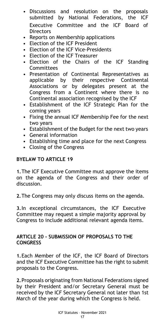- Discussions and resolution on the proposals submitted by National Federations, the ICF Executive Committee and the ICF Board of **Directors**
- Reports on Membership applications
- Election of the ICF President
- Election of the ICF Vice-Presidents
- Election of the ICF Treasurer
- Election of the Chairs of the ICF Standing Committees
- Presentation of Continental Representatives as applicable by their respective Continental Associations or by delegates present at the Congress from a Continent where there is no Continental association recognised by the ICF
- Establishment of the ICF Strategic Plan for the coming years
- Fixing the annual ICF Membership Fee for the next two years
- Establishment of the Budget for the next two years
- General information
- Establishing time and place for the next Congress
- Closing of the Congress

#### **BYELAW TO ARTICLE 19**

**1.**The ICF Executive Committee must approve the items on the agenda of the Congress and their order of discussion.

**2.**The Congress may only discuss items on the agenda.

**3.**In exceptional circumstances, the ICF Executive Committee may request a simple majority approval by Congress to include additional relevant agenda items.

#### <span id="page-16-0"></span>**ARTICLE 20 - SUBMISSION OF PROPOSALS TO THE CONGRESS**

**1.**Each Member of the ICF, the ICF Board of Directors and the ICF Executive Committee has the right to submit proposals to the Congress.

**2.**Proposals originating from National Federations signed by their President and/or Secretary General must be received by the ICF Secretary General not later than 1st March of the year during which the Congress is held.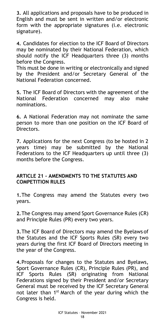**3.** All applications and proposals have to be produced in English and must be sent in written and/or electronic form with the appropriate signatures (i.e. electronic signature).

**4.** Candidates for election to the ICF Board of Directors may be nominated by their National Federation, which should notify the ICF Headquarters three (3) months before the Congress.

This must be done in writing or electronically and signed by the President and/or Secretary General of the National Federation concerned.

**5.** The ICF Board of Directors with the agreement of the National Federation concerned may also make nominations.

**6.** A National Federation may not nominate the same person to more than one position on the ICF Board of Directors.

**7.** Applications for the next Congress (to be hosted in 2 years time) may be submitted by the National Federations to the ICF Headquarters up until three (3) months before the Congress.

#### <span id="page-17-0"></span>**ARTICLE 21 - AMENDMENTS TO THE STATUTES AND COMPETITION RULES**

**1.**The Congress may amend the Statutes every two years.

**2.**The Congress may amend Sport Governance Rules (CR) and Principle Rules (PR) every two years.

**3.**The ICF Board of Directors may amend the Byelaws of the Statutes and the ICF Sports Rules (SR) every two years during the first ICF Board of Directors meeting in the year of the Congress.

**4.**Proposals for changes to the Statutes and Byelaws, Sport Governance Rules (CR), Principle Rules (PR), and ICF Sports Rules (SR) originating from National Federations signed by their President and/or Secretary General must be received by the ICF Secretary General not later than 1<sup>st</sup> March of the year during which the Congress is held.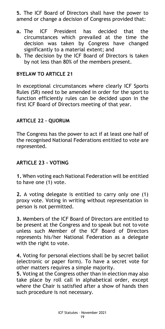**5.** The ICF Board of Directors shall have the power to amend or change a decision of Congress provided that:

- **a.** The ICF President has decided that the circumstances which prevailed at the time the decision was taken by Congress have changed significantly to a material extent; and
- **b.** The decision by the ICF Board of Directors is taken by not less than 80% of the members present.

#### **BYELAW TO ARTICLE 21**

In exceptional circumstances where clearly ICF Sports Rules (SR) need to be amended in order for the sport to function efficiently rules can be decided upon in the first ICF Board of Directors meeting of that year.

#### <span id="page-18-0"></span>**ARTICLE 22 – QUORUM**

The Congress has the power to act if at least one half of the recognised National Federations entitled to vote are represented.

#### <span id="page-18-1"></span>**ARTICLE 23 - VOTING**

**1.** When voting each National Federation will be entitled to have one (1) vote.

**2.** A voting delegate is entitled to carry only one (1) proxy vote. Voting in writing without representation in person is not permitted.

**3.** Members of the ICF Board of Directors are entitled to be present at the Congress and to speak but not to vote unless such Member of the ICF Board of Directors represents his/her National Federation as a delegate with the right to vote.

**4.** Voting for personal elections shall be by secret ballot (electronic or paper form). To have a secret vote for other matters requires a simple majority.

**5.** Voting at the Congress other than in election may also take place by roll call in alphabetical order, except where the Chair is satisfied after a show of hands then such procedure is not necessary.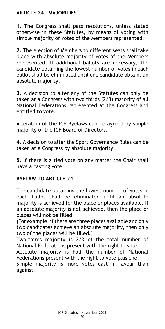## <span id="page-19-0"></span>**ARTICLE 24 - MAJORITIES**

**1.** The Congress shall pass resolutions, unless stated otherwise in these Statutes, by means of voting with simple majority of votes of the Members represented.

**2.** The election of Members to different seats shall take place with absolute majority of votes of the Members represented. If additional ballots are necessary, the candidate obtaining the lowest number of votes in each ballot shall be eliminated until one candidate obtains an absolute majority.

**3.** A decision to alter any of the Statutes can only be taken at a Congress with two thirds (2/3) majority of all National Federations represented at the Congress and entitled to vote.

Alteration of the ICF Byelaws can be agreed by simple majority of the ICF Board of Directors.

**4.** A decision to alter the Sport Governance Rules can be taken at a Congress by absolute majority.

**5.** If there is a tied vote on any matter the Chair shall have a casting vote;

#### **BYELAW TO ARTICLE 24**

The candidate obtaining the lowest number of votes in each ballot shall be eliminated until an absolute majority is achieved for the place or places available. If an absolute majority is not achieved, then the place or places will not be filled.

(For example, if there are three places available and only two candidates achieve an absolute majority, then only two of the places will be filled.)

Two-thirds majority is 2/3 of the total number of National Federations present with the right to vote.

Absolute majority is half the number of National Federations present with the right to vote plus one.

<span id="page-19-1"></span>Simple majority is more votes cast in favour than against.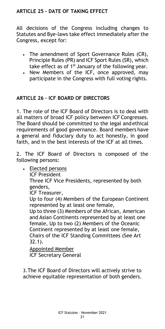# **ARTICLE 25 - DATE OF TAKING EFFECT**

All decisions of the Congress including changes to Statutes and Bye-laws take effect immediately after the Congress, except for:

- The amendment of Sport Governance Rules (CR), Principle Rules (PR) and ICF Sport Rules (SR), which take effect as of  $1<sup>st</sup>$  January of the following year.
- New Members of the ICF, once approved, may participate in the Congress with full voting rights.

#### **ARTICLE 26 – ICF BOARD OF DIRECTORS**

1. The role of the ICF Board of Directors is to deal with all matters of broad ICF policy between ICF Congresses. The Board should be committed to the legal and ethical requirements of good governance. Board members have a general and fiduciary duty to act honestly, in good faith, and in the best interests of the ICF at all times.

2. The ICF Board of Directors is composed of the following persons:

• Elected persons

ICF President

Three ICF Vice Presidents, represented by both genders,

ICF Treasurer,

Up to four (4) Members of the European Continent represented by at least one female,

Up to three (3) Members of the African, American and Asian Continents represented by at least one female, Up to two (2) Members of the Oceanic Continent represented by at least one female, Chairs of the ICF Standing Committees (See Art 32.1).

Appointed Member ICF Secretary General

3.The ICF Board of Directors will actively strive to achieve equitable representation of both genders.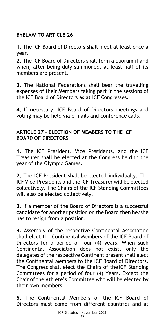# <span id="page-21-0"></span>**BYELAW TO ARTICLE 26**

**1.** The ICF Board of Directors shall meet at least once a year.

**2.** The ICF Board of Directors shall form a quorum if and when, after being duly summoned, at least half of its members are present.

**3.** The National Federations shall bear the travelling expenses of their Members taking part in the sessions of the ICF Board of Directors as at ICF Congresses.

**4.** If necessary, ICF Board of Directors meetings and voting may be held via e-mails and conference calls.

#### <span id="page-21-1"></span>**ARTICLE 27 - ELECTION OF MEMBERS TO THE ICF BOARD OF DIRECTORS**

**1.** The ICF President, Vice Presidents, and the ICF Treasurer shall be elected at the Congress held in the year of the Olympic Games.

**2.** The ICF President shall be elected individually. The ICF Vice-Presidents and the ICF Treasurer will be elected collectively. The Chairs of the ICF Standing Committees will also be elected collectively.

**3.** If a member of the Board of Directors is a successful candidate for another position on the Board then he/she has to resign from a position.

**4.** Assembly of the respective Continental Association shall elect the Continental Members of the ICF Board of Directors for a period of four (4) years. When such Continental Association does not exist, only the delegates of the respective Continent present shall elect the Continental Members to the ICF Board of Directors. The Congress shall elect the Chairs of the ICF Standing Committees for a period of four (4) Years. Except the Chair of the Athlete's Committee who will be elected by their own members.

**5.** The Continental Members of the ICF Board of Directors must come from different countries and at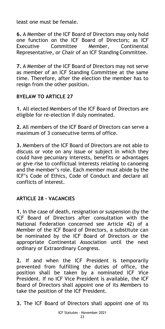least one must be female.

**6.** A Member of the ICF Board of Directors may only hold one function on the ICF Board of Directors; as ICF Executive Committee Member, Continental Representative, or Chair of an ICF Standing Committee.

**7.** A Member of the ICF Board of Directors may not serve as member of an ICF Standing Committee at the same time. Therefore, after the election the member has to resign from the other position.

#### **BYELAW TO ARTICLE 27**

**1.** All elected Members of the ICF Board of Directors are eligible for re-election if duly nominated.

**2.** All members of the ICF Board of Directors can serve a maximum of 3 consecutive terms of office.

**3.** Members of the ICF Board of Directors are not able to discuss or vote on any issue or subject in which they could have pecuniary interests, benefits or advantages or give rise to conflictual interests relating to canoeing and the member's role. Each member must abide by the ICF's Code of Ethics, Code of Conduct and declare all conflicts of interest.

# <span id="page-22-0"></span>**ARTICLE 28 - VACANCIES**

**1.** In the case of death, resignation or suspension (by the ICF Board of Directors after consultation with the National Federation concerned see Article 42) of a Member of the ICF Board of Directors, a substitute can be nominated by the ICF Board of Directors or the appropriate Continental Association until the next ordinary or Extraordinary Congress.

**2.** If and when the ICF President is temporarily prevented from fulfilling the duties of office, the position shall be taken by a nominated ICF Vice President. If no ICF Vice President is available, the ICF Board of Directors shall appoint one of its Members to take the position of the ICF President.

**3.** The ICF Board of Directors shall appoint one of its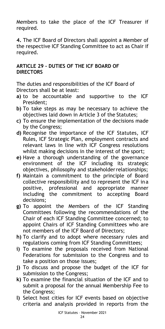Members to take the place of the ICF Treasurer if required.

**4.** The ICF Board of Directors shall appoint a Member of the respective ICF Standing Committee to act as Chair if required.

#### **ARTICLE 29 - DUTIES OF THE ICF BOARD OF DIRECTORS**

The duties and responsibilities of the ICF Board of Directors shall be at least:

- **a)** to be accountable and supportive to the ICF President;
- **b)** To take steps as may be necessary to achieve the objectives laid down in Article 3 of the Statutes;
- **c)** To ensure the implementation of the decisions made by the Congress;
- **d)** Recognise the importance of the ICF Statutes, ICF Rules, ICF Strategic Plan, employment contracts and relevant laws in line with ICF Congress resolutions whilst making decisions in the interest of the sport;
- **e)** Have a thorough understanding of the governance environment of the ICF including its strategic objectives, philosophy and stakeholderrelationships;
- **f)** Maintain a commitment to the principle of Board collective responsibility and to represent the ICF ina positive, professional and appropriate manner including the commitment to accepting Board decisions;
- **g)** To appoint the Members of the ICF Standing Committees following the recommendations of the Chair of each ICF Standing Committee concerned; to appoint Chairs of ICF Standing Committees who are not members of the ICF Board of Directors;
- **h)** To clarify and to adopt where necessary rules and regulations coming from ICF Standing Committees;
- **i)** To examine the proposals received from National Federations for submission to the Congress and to take a position on those issues;
- **j)** To discuss and propose the budget of the ICF for submission to the Congress;
- **k)** To examine the financial situation of the ICF and to submit a proposal for the annual Membership Fee to the Congress;
- **l)** Select host cities for ICF events based on objective criteria and analysis provided in reports from the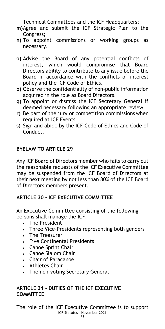Technical Committees and the ICF Headquarters;

- **m)**Agree and submit the ICF Strategic Plan to the Congress;
- **n)** To appoint commissions or working groups as necessary.
- **o)** Advise the Board of any potential conflicts of interest, which would compromise that Board Directors ability to contribute to any issue before the Board in accordance with the conflicts of interest policy and the ICF Code of Ethics.
- **p)** Observe the confidentiality of non-public information acquired in the role as Board Directors.
- **q)** To appoint or dismiss the ICF Secretary General if deemed necessary following an appropriate review
- **r)** Be part of the jury or competition commissions when required at ICF Events
- **s)** Sign and abide by the ICF Code of Ethics and Code of Conduct.

#### **BYELAW TO ARTICLE 29**

Any ICF Board of Directors member who fails to carry out the reasonable requests of the ICF Executive Committee may be suspended from the ICF Board of Directors at their next meeting by not less than 80% of the ICF Board of Directors members present.

# <span id="page-24-0"></span>**ARTICLE 30 - ICF EXECUTIVE COMMITTEE**

An Executive Committee consisting of the following persons shall manage the ICF:

- **The President**
- Three Vice-Presidents representing both genders
- **The Treasurer**
- Five Continental Presidents
- Canoe Sprint Chair
- Canoe Slalom Chair
- Chair of Paracanoe
- Athletes Chair
- The non-voting Secretary General

#### <span id="page-24-1"></span>**ARTICLE 31 - DUTIES OF THE ICF EXECUTIVE COMMITTEE**

ICF Statutes – November 2021 The role of the ICF Executive Committee is to support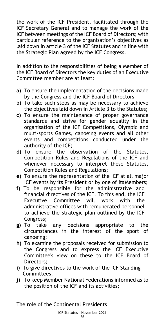the work of the ICF President, facilitated through the ICF Secretary General and to manage the work of the ICF between meetings of the ICF Board of Directors; with particular reference to the organisation's objectives as laid down in article 3 of the ICF Statutes and in line with the Strategic Plan agreed by the ICF Congress.

In addition to the responsibilities of being a Member of the ICF Board of Directors the key duties of an Executive Committee member are at least:

- **a)** To ensure the implementation of the decisions made by the Congress and the ICF Board of Directors
- **b)** To take such steps as may be necessary to achieve the objectives laid down in Article 3 to the Statutes;
- **c)** To ensure the maintenance of proper governance standards and strive for gender equality in the organisation of the ICF Competitions, Olympic and multi-sports Games, canoeing events and all other events and competitions conducted under the authority of the ICF;
- **d)** To ensure the observation of the Statutes, Competition Rules and Regulations of the ICF and whenever necessary to interpret these Statutes, Competition Rules and Regulations;
- **e)** To ensure the representation of the ICF at all major ICF events by its President or by one of itsMembers;
- **f)** To be responsible for the administrative and financial directives of the ICF. To this end, the ICF Executive Committee will work with the administrative offices with remunerated personnel to achieve the strategic plan outlined by the ICF Congress;
- **g)** To take any decisions appropriate to the circumstances in the interest of the sport of canoeing;
- **h)** To examine the proposals received for submission to the Congress and to express the ICF Executive Committee's view on these to the ICF Board of Directors;
- **i)** To give directives to the work of the ICF Standing Committees;
- **j)** To keep Member National Federations informed as to the position of the ICF and its activities;

The role of the Continental Presidents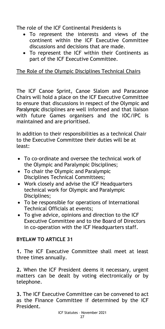The role of the ICF Continental Presidents is

- To represent the interests and views of the continent within the ICF Executive Committee discussions and decisions that are made.
- To represent the ICF within their Continents as part of the ICF Executive Committee.

# The Role of the Olympic Disciplines Technical Chairs

The ICF Canoe Sprint, Canoe Slalom and Paracanoe Chairs will hold a place on the ICF Executive Committee to ensure that discussions in respect of the Olympic and Paralympic disciplines are well informed and that liaison with future Games organisers and the IOC/IPC is maintained and are prioritised.

In addition to their responsibilities as a technical Chair to the Executive Committee their duties will be at least:

- To co-ordinate and oversee the technical work of the Olympic and Paralympic Disciplines;
- To chair the Olympic and Paralympic Disciplines Technical Committees;
- Work closely and advise the ICF Headquarters technical work for Olympic and Paralympic Disciplines;
- To be responsible for operations of International Technical Officials at events;
- To give advice, opinions and direction to the ICF Executive Committee and to the Board of Directors in co-operation with the ICF Headquarters staff.

# **BYELAW TO ARTICLE 31**

**1.** The ICF Executive Committee shall meet at least three times annually.

**2.** When the ICF President deems it necessary, urgent matters can be dealt by voting electronically or by telephone.

**3.** The ICF Executive Committee can be convened to act as the Finance Committee if determined by the ICF President.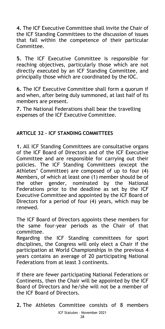**4.** The ICF Executive Committee shall invite the Chair of the ICF Standing Committees to the discussion of issues that fall within the competence of their particular Committee.

**5.** The ICF Executive Committee is responsible for reaching objectives, particularly those which are not directly executed by an ICF Standing Committee, and principally those which are coordinated by the IOC.

**6.** The ICF Executive Committee shall form a quorum if and when, after being duly summoned, at last half of its members are present.

**7.** The National Federations shall bear the travelling expenses of the ICF Executive Committee.

#### **ARTICLE 32 – ICF STANDING COMMITTEES**

**1.** All ICF Standing Committees are consultative organs of the ICF Board of Directors and of the ICF Executive Committee and are responsible for carrying out their policies. The ICF Standing Committees (except the Athletes' Committee) are composed of up to four (4) Members, of which at least one (1) member should be of the other gender, nominated by the National Federations prior to the deadline as set by the ICF Executive Committee and appointed by the ICF Board of Directors for a period of four (4) years, which may be renewed.

The ICF Board of Directors appoints these members for the same four-year periods as the Chair of that committee.

Regarding the ICF Standing committees for sport disciplines, the Congress will only elect a Chair if the participation at World Championships in the previous 4 years contains an average of 20 participating National Federations from at least 3 continents.

If there are fewer participating National Federations or Continents, then the Chair will be appointed by the ICF Board of Directors and he/she will not be a member of the ICF Board of Directors.

**2.** The Athletes Committee consists of 8 members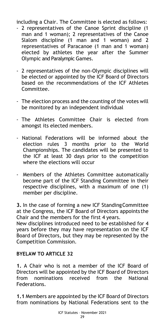including a Chair. The Committee is elected as follows:

- 2 representatives of the Canoe Sprint discipline (1 man and 1 woman); 2 representatives of the Canoe Slalom discipline (1 man and 1 woman) and 2 representatives of Paracanoe (1 man and 1 woman) elected by athletes the year after the Summer Olympic and Paralympic Games.
- 2 representatives of the non-Olympic disciplines will be elected or appointed by the ICF Board of Directors based on the recommendations of the ICF Athletes Committee.
- The election process and the counting of the votes will be monitored by an independent individual
- The Athletes Committee Chair is elected from amongst its elected members.
- National Federations will be informed about the election rules 3 months prior to the World Championships. The candidates will be presented to the ICF at least 30 days prior to the competition where the elections will occur
- Members of the Athletes Committee automatically become part of the ICF Standing Committee in their respective disciplines, with a maximum of one (1) member per discipline.

**3.** In the case of forming a new ICF StandingCommittee at the Congress, the ICF Board of Directors appoints the Chair and the members for the first 4 years.

New disciplines introduced need to be established for 4 years before they may have representation on the ICF Board of Directors, but they may be represented by the Competition Commission.

# **BYELAW TO ARTICLE 32**

**1.** A Chair who is not a member of the ICF Board of Directors will be appointed by the ICF Board of Directors from nominations received from the National Federations.

**1.1** Members are appointed by the ICF Board of Directors from nominations by National Federations sent to the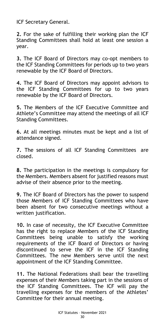ICF Secretary General.

**2.** For the sake of fulfilling their working plan the ICF Standing Committees shall hold at least one session a year.

**3.** The ICF Board of Directors may co-opt members to the ICF Standing Committees for periods up to two years renewable by the ICF Board of Directors.

**4.** The ICF Board of Directors may appoint advisors to the ICF Standing Committees for up to two years renewable by the ICF Board of Directors.

**5.** The Members of the ICF Executive Committee and Athlete's Committee may attend the meetings of all ICF Standing Committees.

**6.** At all meetings minutes must be kept and a list of attendance signed.

**7.** The sessions of all ICF Standing Committees are closed.

**8.** The participation in the meetings is compulsory for the Members. Members absent for justified reasons must advise of their absence prior to the meeting.

**9.** The ICF Board of Directors has the power to suspend those Members of ICF Standing Committees who have been absent for two consecutive meetings without a written justification.

**10.** In case of necessity, the ICF Executive Committee has the right to replace Members of the ICF Standing Committees being unable to satisfy the working requirements of the ICF Board of Directors or having discontinued to serve the ICF in the ICF Standing Committees. The new Members serve until the next appointment of the ICF Standing Committee.

**11.** The National Federations shall bear the travelling expenses of their Members taking part in the sessions of the ICF Standing Committees. The ICF will pay the travelling expenses for the members of the Athletes' Committee for their annual meeting.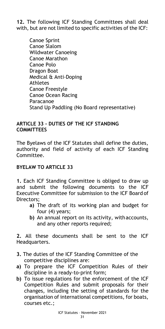**12.** The following ICF Standing Committees shall deal with, but are not limited to specific activities of the ICF:

Canoe Sprint Canoe Slalom Wildwater Canoeing Canoe Marathon Canoe Polo Dragon Boat Medical & Anti-Doping Athletes Canoe Freestyle Canoe Ocean Racing Paracanoe Stand Up Paddling (No Board representative)

#### <span id="page-30-0"></span>**ARTICLE 33 - DUTIES OF THE ICF STANDING COMMITTEES**

The Byelaws of the ICF Statutes shall define the duties, authority and field of activity of each ICF Standing Committee.

#### **BYELAW TO ARTICLE 33**

**1.** Each ICF Standing Committee is obliged to draw up and submit the following documents to the ICF Executive Committee for submission to the ICF Board of Directors;

- **a)** The draft of its working plan and budget for four (4) years;
- **b)** An annual report on its activity, withaccounts, and any other reports required;

**2.** All these documents shall be sent to the ICF Headquarters.

- **3.** The duties of the ICF Standing Committee of the competitive disciplines are:
- **a)** To prepare the ICF Competition Rules of their discipline in a ready-to-print form;
- **b)** To issue regulations for the enforcement of the ICF Competition Rules and submit proposals for their changes, including the setting of standards for the organisation of international competitions, for boats, courses etc.;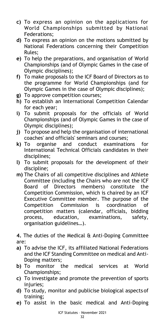- **c)** To express an opinion on the applications for World Championships submitted by National Federations;
- **d)** To express an opinion on the motions submitted by National Federations concerning their Competition Rules;
- **e)** To help the preparations, and organisation of World Championships (and of Olympic Games in the case of Olympic disciplines);
- **f)** To make proposals to the ICF Board of Directors as to the programme for World Championships (and for Olympic Games in the case of Olympic disciplines);
- **g)** To approve competition courses;
- **h)** To establish an International Competition Calendar for each year;
- **i)** To submit proposals for the officials of World Championships (and of Olympic Games in the case of Olympic disciplines);
- **j)** To propose and help the organisation of international coaches' and officials' seminars and courses;
- **k)** To organise and conduct examinations for International Technical Officials candidates in their disciplines;
- **l)** To submit proposals for the development of their discipline;
- **m)** The Chairs of all competitive disciplines and Athlete Committee (including the Chairs who are not the ICF Board of Directors members) constitute the Competition Commission, which is chaired by an ICF Executive Committee member. The purpose of the Competition Commission is coordination of competition matters (calendar, officials, bidding process, education, examinations, safety, organisation guidelines…).

**4.** The duties of the Medical & Anti-Doping Committee are:

- **a)** To advise the ICF, its affiliated National Federations and the ICF Standing Committee on medical and Anti-Doping matters;
- **b)** To monitor the medical services at World Championships;
- **c)** To investigate and promote the prevention of sports injuries:
- **d)** To study, monitor and publicise biological aspects of training;
- **e)** To assist in the basic medical and Anti-Doping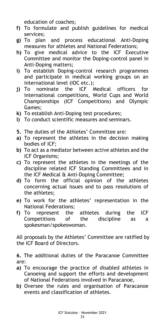education of coaches;

- **f)** To formulate and publish guidelines for medical services;
- **g)** To plan and process educational Anti-Doping measures for athletes and National Federations;
- **h)** To give medical advice to the ICF Executive Committee and monitor the Doping-control panel in Anti-Doping matters;
- **i)** To establish Doping-control research programmes and participate in medical working groups on an international level (IOC etc.);
- **j)** To nominate the ICF Medical officers for international competitions, World Cups and World Championships (ICF Competitions) and Olympic Games;
- **k)** To establish Anti-Doping test procedures;
- **l)** To conduct scientific measures and seminars.
- **5.** The duties of the Athletes' Committee are:
- **a)** To represent the athletes in the decision making bodies of ICF;
- **b)** To act as a mediator between active athletes and the ICF Organisms;
- **c)** To represent the athletes in the meetings of the discipline related ICF Standing Committees and in the ICF Medical & Anti-Doping Committee;
- **d)** To form the official opinion of the athletes concerning actual issues and to pass resolutions of the athletes;
- **e)** To work for the athletes' representation in the National Federations;
- **f)** To represent the athletes during the ICF Competitions of the discipline as a spokesman/spokeswoman.

All proposals by the Athletes' Committee are ratified by the ICF Board of Directors.

**6.** The additional duties of the Paracanoe Committee are:

- **a)** To encourage the practice of disabled athletes in Canoeing and support the efforts and development of National Federations involved in Paracanoe,
- **b)** Oversee the rules and organisation of Paracanoe events and classification of athletes.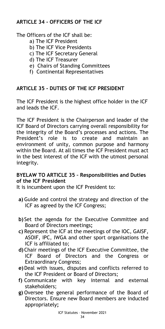# **ARTICLE 34 - OFFICERS OF THE ICF**

The Officers of the ICF shall be:

- a) The ICF President
- b) The ICF Vice Presidents
- c) The ICF Secretary General
- d) The ICF Treasurer
- e) Chairs of Standing Committees
- f) Continental Representatives

#### <span id="page-33-0"></span>**ARTICLE 35 - DUTIES OF THE ICF PRESIDENT**

The ICF President is the highest office holder in the ICF and leads the ICF.

The ICF President is the Chairperson and leader of the ICF Board of Directors carrying overall responsibility for the integrity of the Board's processes and actions. The President's role is to create and maintain an environment of unity, common purpose and harmony within the Board. At all times the ICF President must act in the best interest of the ICF with the utmost personal integrity.

#### **BYELAW TO ARTICLE 35 – Responsibilities and Duties of the ICF President**

It is incumbent upon the ICF President to:

- **a)** Guide and control the strategy and direction of the ICF as agreed by the ICF Congress;
- **b)** Set the agenda for the Executive Committee and Board of Directors meetings**;**
- **c)** Represent the ICF at the meetings of the IOC, GAISF, ASOIF, IPC, IWGA and other sport organisations the ICF is affiliated to;
- **d)**Chair meetings of the ICF Executive Committee, the ICF Board of Directors and the Congress or Extraordinary Congress;
- **e)**Deal with issues, disputes and conflicts referred to the ICF President or Board of Directors;
- **f)** Communicate with key internal and external stakeholders;
- **g)** Oversee the general performance of the Board of Directors. Ensure new Board members are inducted appropriately**;**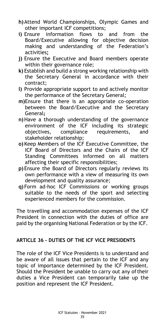- **h)**Attend World Championships, Olympic Games and other important ICF competitions;
- **i)** Ensure information flows to and from the Board/Executive allowing for objective decision making and understanding of the Federation's activities**;**
- **j)** Ensure the Executive and Board members operate within their governance role;
- **k)** Establish and build a strong working relationship with the Secretary General in accordance with their contract;
- **l)** Provide appropriate support to and actively monitor the performance of the Secretary General;
- **m)**Ensure that there is an appropriate co-operation between the Board/Executive and the Secretary General**;**
- **n)**Have a thorough understanding of the governance environment of the ICF including its strategic objectives, compliance requirements, and stakeholder relationship;
- **o)** Keep Members of the ICF Executive Committee, the ICF Board of Directors and the Chairs of the ICF Standing Committees informed on all matters affecting their specific responsibilities;
- **p)** Ensure the Board of Directors regularly reviews its own performance with a view of measuring its own development and quality assurance;
- **q)** Form ad-hoc ICF Commissions or working groups suitable to the needs of the sport and selecting experienced members for the commission.

The travelling and accommodation expenses of the ICF President in connection with the duties of office are paid by the organising National Federation or by the ICF.

#### **ARTICLE 36 - DUTIES OF THE ICF VICE PRESIDENTS**

The role of the ICF Vice Presidents is to understand and be aware of all issues that pertain to the ICF and any topic of importance determined by the ICF President. Should the President be unable to carry out any of their duties a Vice President can temporarily take up the position and represent the ICF President.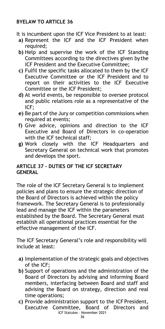#### **BYELAW TO ARTICLE 36**

- It is incumbent upon the ICF Vice President to at least:
	- **a)** Represent the ICF and the ICF President when required:
- **b)** Help and supervise the work of the ICF Standing Committees according to the directives given bythe ICF President and the Executive Committee;
- **c)** Fulfil the specific tasks allocated to them by the ICF Executive Committee or the ICF President and to report on their activities to the ICF Executive Committee or the ICF President;
- **d)** At world events, be responsible to oversee protocol and public relations role as a representative of the ICF;
- **e)** Be part of the Jury or competition commissions when required at events;
- **f)** Give advice, opinions and direction to the ICF Executive and Board of Directors in co-operation with the ICF technical staff;
- **g)** Work closely with the ICF Headquarters and Secretary General on technical work that promotes and develops the sport.

#### <span id="page-35-0"></span>**ARTICLE 37 - DUTIES OF THE ICF SECRETARY GENERAL**

The role of the ICF Secretary General is to implement policies and plans to ensure the strategic direction of the Board of Directors is achieved within the policy framework. The Secretary General is to professionally lead and manage the ICF within the parameters established by the Board. The Secretary General must establish all operational practices essential for the effective management of the ICF.

The ICF Secretary General's role and responsibility will include at least:

- **a)** Implementation of the strategic goals and objectives of the ICF;
- **b)** Support of operations and the administration of the Board of Directors by advising and informing Board members, interfacing between Board and staff and advising the Board on strategy, direction and real time operations;
- ICF Statutes November 2021 **c)** Provide administration support to the ICF President, Executive Committee, Board of Directors and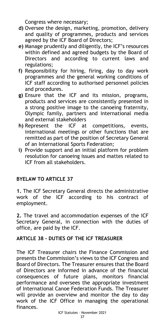Congress where necessary;

- **d)** Oversee the design, marketing, promotion, delivery and quality of programmes, products and services agreed by the ICF Board of Directors;
- **e)** Manage prudently and diligently, the ICF's resources within defined and agreed budgets by the Board of Directors and according to current laws and regulations;
- **f)** Responsibility for hiring, firing, day to day work programmes and the general working conditions of ICF staff according to authorised personnel policies and procedures.
- **g)** Ensure that the ICF and its mission, programs, products and services are consistently presented in a strong positive image to the canoeing fraternity, Olympic family, partners and international media and external stakeholders
- **h)** Represent the ICF at competitions, events, international meetings or other functions that are remitted as part of the position of Secretary General of an International Sports Federation;
- **i)** Provide support and an initial platform for problem resolution for canoeing issues and mattes related to ICF from all stakeholders.

# **BYELAW TO ARTICLE 37**

**1.** The ICF Secretary General directs the administrative work of the ICF according to his contract of employment.

**2.** The travel and accommodation expenses of the ICF Secretary General, in connection with the duties of office, are paid by the ICF.

# **ARTICLE 38 - DUTIES OF THE ICF TREASURER**

The ICF Treasurer chairs the Finance Commission and presents the Commission's views to the ICF Congress and Board of Directors. The Treasurer ensures that the Board of Directors are informed in advance of the financial consequences of future plans, monitors financial performance and oversees the appropriate investment of International Canoe Federation Funds. The Treasurer will provide an overview and monitor the day to day work of the ICF Office in managing the operational finances.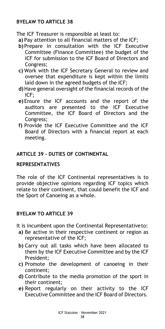#### **BYELAW TO ARTICLE 38**

The ICF Treasurer is responsible at least to:

- **a)** Pay attention to all financial matters of the ICF;
- **b)** Prepare in consultation with the ICF Executive Committee (Finance Committee) the budget of the ICF for submission to the ICF Board of Directors and Congress;
- **c)** Work with the ICF Secretary General to review and oversee that expenditure is kept within the limits laid down in the agreed budgets of the ICF;
- **d)**Have general oversight of the financial records of the ICF;
- **e)** Ensure the ICF accounts and the report of the auditors are presented to the ICF Executive Committee, the ICF Board of Directors and the Congress;
- **f)** Provide the ICF Executive Committee and the ICF Board of Directors with a financial report at each meeting.

#### <span id="page-37-1"></span><span id="page-37-0"></span>**ARTICLE 39 - DUTIES OF CONTINENTAL**

#### **REPRESENTATIVES**

The role of the ICF Continental representatives is to provide objective opinions regarding ICF topics which relate to their continent, that could benefit the ICF and the Sport of Canoeing as a whole.

#### **BYELAW TO ARTICLE 39**

It is incumbent upon the Continental Representativeto:

- **a)** Be active in their respective continent or region as representative of the ICF;
- **b)** Carry out all tasks which have been allocated to them by the ICF Executive Committee and by the ICF President;
- **c)** Promote the development of canoeing in their continent;
- **d)** Contribute to the media promotion of the sport in their continent;
- **e)** Report regularly on their activity to the ICF Executive Committee and the ICF Board of Directors.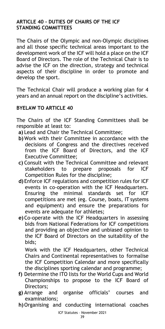#### **ARTICLE 40 - DUTIES OF CHAIRS OF THE ICF STANDING COMMITTEES**

The Chairs of the Olympic and non-Olympic disciplines and all those specific technical areas important to the development work of the ICF will hold a place on the ICF Board of Directors. The role of the Technical Chair is to advise the ICF on the direction, strategy and technical aspects of their discipline in order to promote and develop the sport.

The Technical Chair will produce a working plan for 4 years and an annual report on the discipline's activities.

#### **BYELAW TO ARTICLE 40**

The Chairs of the ICF Standing Committees shall be responsible at least to:

- **a)** Lead and Chair the Technical Committee;
- **b)** Work with their Committee in accordance with the decisions of Congress and the directives received from the ICF Board of Directors, and the ICF Executive Committee;
- **c)** Consult with the Technical Committee and relevant stakeholders to prepare proposals for ICF Competition Rules for the discipline;
- **d)** Enforce ICF regulations and competition rules for ICF events in co-operation with the ICF Headquarters. Ensuring the minimal standards set for ICF competitions are met (eg. Course, boats, IT systems and equipment) and ensure the preparations for events are adequate for athletes;
- **e)**Co-operate with the ICF Headquarters in assessing bids from National Federations for ICF competitions and providing an objective and unbiased opinion to the ICF Board of Directors on the suitability of the bids;

Work with the ICF Headquarters, other Technical Chairs and Continental representatives to formalise the ICF Competition Calendar and more specifically the disciplines sporting calendar and programme;

- **f)** Determine the ITO lists for the World Cups and World Championships to propose to the ICF Board of Directors;
- **g)** Arrange and organise officials' courses and examinations;
- **h)**Organising and conducting international coaches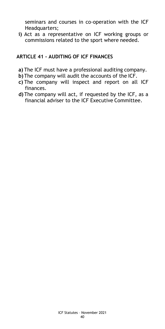seminars and courses in co-operation with the ICF Headquarters;

**i)** Act as a representative on ICF working groups or commissions related to the sport where needed.

#### **ARTICLE 41 - AUDITING OF ICF FINANCES**

- **a)** The ICF must have a professional auditing company.
- **b)** The company will audit the accounts of the ICF.
- **c)** The company will inspect and report on all ICF finances.
- **d)** The company will act, if requested by the ICF, as a financial adviser to the ICF Executive Committee.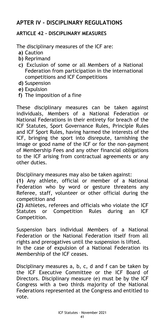# <span id="page-40-0"></span>**APTER IV - DISCIPLINARY REGULATIONS**

## <span id="page-40-1"></span>**ARTICLE 42 - DISCIPLINARY MEASURES**

The disciplinary measures of the ICF are:

- **a)** Caution
- **b)** Reprimand
- **c)** Exclusion of some or all Members of a National Federation from participation in the international competitions and ICF Competitions
- **d)** Suspension
- **e)** Expulsion
- **f)** The imposition of a fine

These disciplinary measures can be taken against individuals, Members of a National Federation or National Federations in their entirety for breach of the ICF Statutes, Sport Governance Rules, Principle Rules and ICF Sport Rules, having harmed the interests of the ICF, bringing the sport into disrepute, tarnishing the image or good name of the ICF or for the non-payment of Membership Fees and any other financial obligations to the ICF arising from contractual agreements or any other duties.

Disciplinary measures may also be taken against:

**(1)** Any athlete, official or member of a National Federation who by word or gesture threatens any Referee, staff, volunteer or other official during the competition and

**(2)** Athletes, referees and officials who violate the ICF Statutes or Competition Rules during an ICF Competition.

Suspension bars individual Members of a National Federation or the National Federation itself from all rights and prerogatives until the suspension is lifted. In the case of expulsion of a National Federation its Membership of the ICF ceases.

Disciplinary measures a, b, c, d and f can be taken by the ICF Executive Committee or the ICF Board of Directors. Disciplinary measure (e) must be by the ICF Congress with a two thirds majority of the National Federations represented at the Congress and entitled to vote.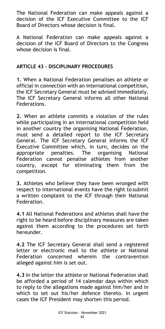The National Federation can make appeals against a decision of the ICF Executive Committee to the ICF Board of Directors whose decision is final.

A National Federation can make appeals against a decision of the ICF Board of Directors to the Congress whose decision is final.

#### **ARTICLE 43 - DISCIPLINARY PROCEDURES**

**1.** When a National Federation penalises an athlete or official in connection with an international competition, the ICF Secretary General must be advised immediately. The ICF Secretary General informs all other National Federations.

**2.** When an athlete commits a violation of the rules while participating in an international competition held in another country the organising National Federation, must send a detailed report to the ICF Secretary General. The ICF Secretary General informs the ICF Executive Committee which, in turn, decides on the appropriate penalties. The organising National Federation cannot penalise athletes from another country, except for eliminating them from the competition.

**3.** Athletes who believe they have been wronged with respect to international events have the right to submit a written complaint to the ICF through their National Federation.

**4.1** All National Federations and athletes shall have the right to be heard before disciplinary measures are taken against them according to the procedures set forth hereunder.

**4.2** The ICF Secretary General shall send a registered letter or electronic mail to the athlete or National Federation concerned wherein the contravention alleged against him is set out.

**4.3** In the letter the athlete or National Federation shall be afforded a period of 14 calendar days within which to reply to the allegations made against him/her and in which to set out his/her defence thereto. In urgent cases the ICF President may shorten this period.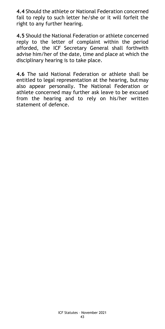**4.4** Should the athlete or National Federation concerned fail to reply to such letter he/she or it will forfeit the right to any further hearing.

**4.5** Should the National Federation or athlete concerned reply to the letter of complaint within the period afforded, the ICF Secretary General shall forthwith advise him/her of the date, time and place at which the disciplinary hearing is to take place.

**4.6** The said National Federation or athlete shall be entitled to legal representation at the hearing, butmay also appear personally. The National Federation or athlete concerned may further ask leave to be excused from the hearing and to rely on his/her written statement of defence.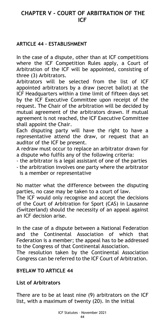# <span id="page-43-0"></span>**CHAPTER V - COURT OF ARBITRATION OF THE ICF**

#### <span id="page-43-1"></span>**ARTICLE 44 – ESTABLISHMENT**

In the case of a dispute, other than at ICF competitions where the ICF Competition Rules apply, a Court of Arbitration of the ICF will be appointed, consisting of three (3) Arbitrators.

Arbitrators will be selected from the list of ICF appointed arbitrators by a draw (secret ballot) at the ICF Headquarters within a time limit of fifteen days set by the ICF Executive Committee upon receipt of the request. The Chair of the arbitration will be decided by mutual agreement of the arbitrators drawn. If mutual agreement is not reached, the ICF Executive Committee shall appoint the Chair.

Each disputing party will have the right to have a representative attend the draw, or request that an auditor of the ICF be present.

A redraw must occur to replace an arbitrator drawn for a dispute who fulfils any of the following criteria:

- the arbitrator is a legal assistant of one of the parties
- the arbitration involves one party where the arbitrator is a member or representative

No matter what the difference between the disputing parties, no case may be taken to a court of law.

The ICF would only recognise and accept the decisions of the Court of Arbitration for Sport (CAS) in Lausanne (Switzerland) should the necessity of an appeal against an ICF decision arise.

In the case of a dispute between a National Federation and the Continental Association of which that Federation is a member; the appeal has to be addressed to the Congress of that Continental Association.

The resolution taken by the Continental Association Congress can be referred to the ICF Court of Arbitration.

#### **BYELAW TO ARTICLE 44**

#### **List of Arbitrators**

There are to be at least nine (9) arbitrators on the ICF list, with a maximum of twenty (20). In the initial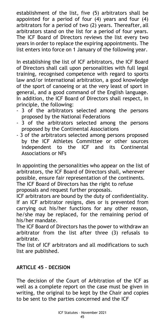establishment of the list, five (5) arbitrators shall be appointed for a period of four (4) years and four (4) arbitrators for a period of two (2) years. Thereafter, all arbitrators stand on the list for a period of four years. The ICF Board of Directors reviews the list every two years in order to replace the expiring appointments. The list enters into force on 1 January of the following year.

In establishing the list of ICF arbitrators, the ICF Board of Directors shall call upon personalities with full legal training, recognised competence with regard to sports law and/or international arbitration, a good knowledge of the sport of canoeing or at the very least of sport in general, and a good command of the English language. In addition, the ICF Board of Directors shall respect, in principle, the following:

- 3 of the arbitrators selected among the persons proposed by the National Federations
- 3 of the arbitrators selected among the persons proposed by the Continental Associations
- 3 of the arbitrators selected among persons proposed by the ICF Athletes Committee or other sources independent to the ICF and its Continental Associations or NFs

In appointing the personalities who appear on the list of arbitrators, the ICF Board of Directors shall, wherever possible, ensure fair representation of the continents. The ICF Board of Directors has the right to refuse proposals and request further proposals.

ICF arbitrators are bound by the duty of confidentiality. If an ICF arbitrator resigns, dies or is prevented from carrying out his/her functions for any other reason, he/she may be replaced, for the remaining period of his/her mandate.

The ICF Board of Directors has the power to withdraw an arbitrator from the list after three (3) refusals to arbitrate.

The list of ICF arbitrators and all modifications to such list are published.

# <span id="page-44-0"></span>**ARTICLE 45 – DECISION**

The decision of the Court of Arbitration of the ICF as well as a complete report on the case must be given in writing, the original to be kept by the Chair and copies to be sent to the parties concerned and the ICF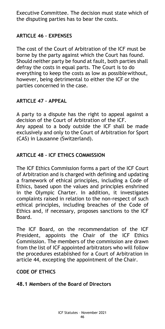Executive Committee. The decision must state which of the disputing parties has to bear the costs.

#### <span id="page-45-0"></span>**ARTICLE 46 – EXPENSES**

The cost of the Court of Arbitration of the ICF must be borne by the party against which the Court has found. Should neither party be found at fault, both parties shall defray the costs in equal parts. The Court is to do everything to keep the costs as low as possiblewithout, however, being detrimental to either the ICF or the parties concerned in the case.

#### <span id="page-45-1"></span>**ARTICLE 47 – APPEAL**

A party to a dispute has the right to appeal against a decision of the Court of Arbitration of the ICF. Any appeal to a body outside the ICF shall be made exclusively and only to the Court of Arbitration for Sport (CAS) in Lausanne (Switzerland).

#### <span id="page-45-2"></span>**ARTICLE 48 – ICF ETHICS COMMISSION**

The ICF Ethics Commission forms a part of the ICF Court of Arbitration and is charged with defining and updating a framework of ethical principles, including a Code of Ethics, based upon the values and principles enshrined in the Olympic Charter. In addition, it investigates complaints raised in relation to the non-respect of such ethical principles, including breaches of the Code of Ethics and, if necessary, proposes sanctions to the ICF Board.

The ICF Board, on the recommendation of the ICF President, appoints the Chair of the ICF Ethics Commission. The members of the commission are drawn from the list of ICF appointed arbitrators who will follow the procedures established for a Court of Arbitration in article 44, excepting the appointment of the Chair.

#### **CODE OF ETHICS**

#### **48.1 Members of the Board of Directors**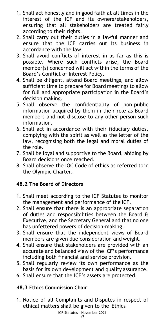- 1. Shall act honestly and in good faith at all times in the interest of the ICF and its owners/stakeholders, ensuring that all stakeholders are treated fairly according to their rights.
- 2. Shall carry out their duties in a lawful manner and ensure that the ICF carries out its business in accordance with the law.
- 3. Shall avoid conflicts of interest in as far as this is possible. Where such conflicts arise, the Board member(s) concerned will act within the terms of the Board's Conflict of Interest Policy.
- 4. Shall be diligent, attend Board meetings, and allow sufficient time to prepare for Board meetings to allow for full and appropriate participation in the Board's decision making.
- 5. Shall observe the confidentiality of non-public information acquired by them in their role as Board members and not disclose to any other person such information.
- 6. Shall act in accordance with their fiduciary duties, complying with the spirit as well as the letter of the law, recognising both the legal and moral duties of the role.
- 7. Shall be loyal and supportive to the Board, abiding by Board decisions once reached.
- 8. Shall observe the IOC Code of ethics as referred to in the Olympic Charter.

# **48.2 The Board of Directors**

- 1. Shall meet according to the ICF Statutes to monitor the management and performance of the ICF.
- 2. Shall ensure that there is an appropriate separation of duties and responsibilities between the Board & Executive, and the Secretary General and that no one has unfettered powers of decision-making.
- 3. Shall ensure that the independent views of Board members are given due consideration and weight.
- 4. Shall ensure that stakeholders are provided with an accurate and balanced view of the ICF's performance including both financial and service provision.
- 5. Shall regularly review its own performance as the basis for its own development and quality assurance.
- 6. Shall ensure that the ICF's assets are protected.

# **48.3 Ethics Commission Chair**

1. Notice of all Complaints and Disputes in respect of ethical matters shall be given to the Ethics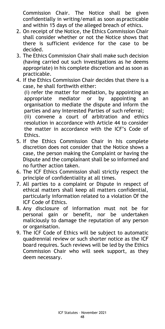Commission Chair. The Notice shall be given confidentially in writing/email as soon aspracticable and within 15 days of the alleged breach of ethics.

- 2. On receipt of the Notice, the Ethics Commission Chair shall consider whether or not the Notice shows that there is sufficient evidence for the case to be decided.
- 3. The Ethics Commission Chair shall make such decision (having carried out such investigations as he deems appropriate) in his complete discretion and as soon as practicable.
- 4. If the Ethics Commission Chair decides that there is a case, he shall forthwith either:

(i) refer the matter for mediation, by appointing an appropriate mediator or by appointing an organisation to mediate the dispute and inform the parties and any Interested Parties of such referral;

(ii) convene a court of arbitration and ethics resolution in accordance with Article 44 to consider the matter in accordance with the ICF's Code of Ethics.

- 5. If the Ethics Commission Chair in his complete discretion does not consider that the Notice shows a case, the person making the Complaint or having the Dispute and the complainant shall be so informed and no further action taken.
- 6. The ICF Ethics Commission shall strictly respect the principle of confidentiality at all times.
- 7. All parties to a complaint or Dispute in respect of ethical matters shall keep all matters confidential, particularly information related to a violation Of the ICF Code of Ethics.
- 8. Any disclosure of information must not be for personal gain or benefit, nor be undertaken maliciously to damage the reputation of any person or organisation.
- 9. The ICF Code of Ethics will be subject to automatic quadrennial review or such shorter notice as the ICF board requires. Such reviews will be led by the Ethics Commission Chair who will seek support, as they deem necessary.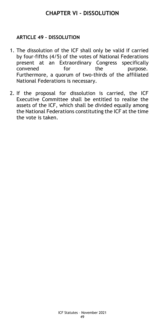# **CHAPTER VI - DISSOLUTION**

#### <span id="page-48-1"></span><span id="page-48-0"></span>**ARTICLE 49 – DISSOLUTION**

- 1. The dissolution of the ICF shall only be valid if carried by four-fifths (4/5) of the votes of National Federations present at an Extraordinary Congress specifically convened for the purpose. Furthermore, a quorum of two-thirds of the affiliated National Federations is necessary.
- 2. If the proposal for dissolution is carried, the ICF Executive Committee shall be entitled to realise the assets of the ICF, which shall be divided equally among the National Federations constituting the ICF at the time the vote is taken.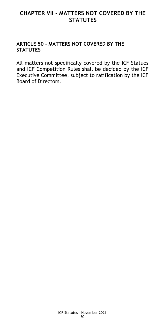# <span id="page-49-0"></span>**CHAPTER VII - MATTERS NOT COVERED BY THE STATUTES**

#### <span id="page-49-1"></span>**ARTICLE 50 - MATTERS NOT COVERED BY THE STATUTES**

All matters not specifically covered by the ICF Statues and ICF Competition Rules shall be decided by the ICF Executive Committee, subject to ratification by the ICF Board of Directors.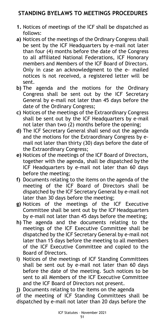# <span id="page-50-0"></span>**STANDING BYELAWS TO MEETINGS PROCEDURES**

- **1.** Notices of meetings of the ICF shall be dispatched as follows:
- **a)** Notices of the meetings of the Ordinary Congress shall be sent by the ICF Headquarters by e-mail not later than four (4) months before the date of the Congress to all affiliated National Federations, ICF Honorary members and Members of the ICF Board of Directors. Only in case an acknowledgment to the e- mailed notices is not received, a registered letter will be sent.
- **b)** The agenda and the motions for the Ordinary Congress shall be sent out by the ICF Secretary General by e-mail not later than 45 days before the date of the Ordinary Congress;
- **c)** Notices of the meetings of the Extraordinary Congress shall be sent out by the ICF Headquarters by e-mail not later than two (2) months before the opening;
- **d)** The ICF Secretary General shall send out the agenda and the motions for the Extraordinary Congress by email not later than thirty (30) days before the date of the Extraordinary Congress;
- **e)** Notices of the meetings of the ICF Board of Directors, together with the agenda, shall be dispatched by the ICF Headquarters by e-mail not later than 60 days before the meeting;
- **f)** Documents relating to the items on the agenda of the meeting of the ICF Board of Directors shall be dispatched by the ICF Secretary General by e-mail not later than 30 days before the meeting;
- **g)** Notices of the meetings of the ICF Executive Committee shall be sent out by the ICF Headquarters by e-mail not later than 45 days before the meeting;
- **h)** The agenda and the documents relating to the meetings of the ICF Executive Committee shall be dispatched by the ICF Secretary General by e-mail not later than 15 days before the meeting to all members of the ICF Executive Committee and copied to the Board of Directors.
- **i)** Notices of the meetings of ICF Standing Committees shall be sent out by e-mail not later than 60 days before the date of the meeting. Such notices to be sent to all Members of the ICF Executive Committee and the ICF Board of Directors not present.
- **j)** Documents relating to the items on the agenda

of the meeting of ICF Standing Committees shall be dispatched by e-mail not later than 20 days before the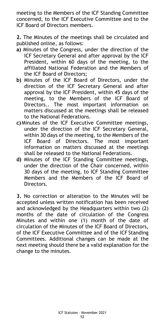meeting to the Members of the ICF Standing Committee concerned, to the ICF Executive Committee and to the ICF Board of Directors members.

**2.** The Minutes of the meetings shall be circulated and published online, as follows:

- **a)** Minutes of the Congress, under the direction of the ICF Secretary General and after approval by the ICF President, within 60 days of the meeting, to the affiliated National Federation and the Members of the ICF Board of Directors;
- **b)** Minutes of the ICF Board of Directors, under the direction of the ICF Secretary General and after approval by the ICF President, within 45 days of the meeting, to the Members of the ICF Board of Directors.. The most important information on matters discussed at the meetings shall be released to the National Federations.
- **c)**Minutes of the ICF Executive Committee meetings, under the direction of the ICF Secretary General, within 30 days of the meeting, to the Members of the ICF Board of Directors. The most important information on matters discussed at the meetings shall be released to the National Federations.
- **d)** Minutes of the ICF Standing Committee meetings, under the direction of the Chair concerned, within 30 days of the meeting, to ICF Standing Committee Members and the Members of the ICF Board of Directors.

**3.** No correction or alteration to the Minutes will be accepted unless written notification has been received and acknowledged by the Headquarters within two (2) months of the date of circulation of the Congress Minutes and within one (1) month of the date of circulation of the Minutes of the ICF Board of Directors, of the ICF Executive Committee and of the ICF Standing Committees. Additional changes can be made at the next meeting should there be a valid explanation for the change to the minutes.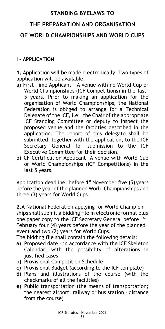# **STANDING BYELAWS TO**

# <span id="page-52-0"></span>**THE PREPARATION AND ORGANISATION**

# <span id="page-52-2"></span><span id="page-52-1"></span>**OF WORLD CHAMPIONSHIPS AND WORLD CUPS**

#### <span id="page-52-3"></span>**I – APPLICATION**

**1.** Application will be made electronically. Two types of application will be available:

- **a)** First Time Applicant A venue with no World Cup or World Championships (ICF Competitions) in the last 5 years. Prior to making an application for the organisation of World Championships, the National Federation is obliged to arrange for a Technical Delegate of the ICF, i.e., the Chair of the appropriate ICF Standing Committee or deputy to inspect the proposed venue and the facilities described in the application. The report of this delegate shall be submitted, together with the application, to the ICF Secretary General for submission to the ICF Executive Committee for their decision.
- **b)**ICF Certification Applicant –A venue with World Cup or World Championships (ICF Competitions) in the last 5 years.

Application deadline: before 1<sup>st</sup> November five (5) years before the year of the planned World Championships and three (3) years for World Cups.

**2.**A National Federation applying for World Championships shall submit a bidding file in electronic format plus one paper copy to the ICF Secretary General before 1st February four (4) years before the year of the planned event and two (2) years for World Cups.

The bidding file shall contain the following details:

- **a)** Proposed date in accordance with the ICF Skeleton Calendar, with the possibility of alterations in justified cases
- **b)** Provisional Competition Schedule
- **c)** Provisional Budget (according to the ICF template)
- **d)** Plans and illustrations of the course (with the checkmarks of all the facilities)
- **e)** Public transportation (the means of transportation; the nearest airport, railway or bus station – distance from the course)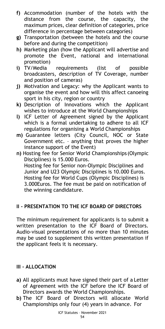- **f)** Accommodation (number of the hotels with the distance from the course, the capacity, the maximum prices, clear definition of categories, price difference in percentage between categories)
- **g)** Transportation (between the hotels and the course before and during the competition)
- **h)** Marketing plan (how the Applicant will advertise and promote the Event, national and international promotion)
- **i)** TV/Media requirements (list of possible broadcasters, description of TV Coverage, number and position of cameras)
- **j)** Motivation and Legacy: why the Applicant wants to organise the event and how will this affect canoeing sport in his city, region or country
- **k)** Description of Innovations which the Applicant wishes to introduce at the World Championships
- **l)** ICF Letter of Agreement signed by the Applicant which is a formal undertaking to adhere to all ICF regulations for organising a World Championships
- **m)** Guarantee letters (City Council, NOC or State Government etc. – anything that proves the higher instance support of the Event)
- **n)** Hosting fee for Senior World Championships (Olympic Disciplines) is 15.000 Euros. Hosting fee for Senior non-Olympic Disciplines and Junior and U23 Olympic Disciplines is 10.000 Euros. Hosting fee for World Cups (Olympic Disciplines) is 3.000Euros. The fee must be paid on notification of the winning candidature.

# <span id="page-53-0"></span>**II - PRESENTATION TO THE ICF BOARD OF DIRECTORS**

The minimum requirement for applicants is to submit a written presentation to the ICF Board of Directors. Audio-visual presentations of no more than 10 minutes may be used to supplement this written presentation if the applicant feels it is necessary.

# <span id="page-53-1"></span>**III - ALLOCATION**

- **a)** All applicants must have signed their part of a Letter of Agreement with the ICF before the ICF Board of Directors awards the World Championships.
- **b)** The ICF Board of Directors will allocate World Championships only four (4) years in advance. For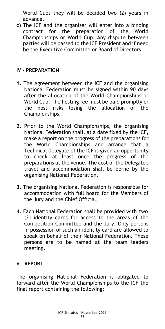World Cups they will be decided two (2) years in advance.

**c)** The ICF and the organiser will enter into a binding contract for the preparation of the World Championships or World Cup. Any dispute between parties will be passed to the ICF President and if need be the Executive Committee or Board of Directors.

#### <span id="page-54-0"></span>**IV – PREPARATION**

- **1.** The Agreement between the ICF and the organising National Federation must be signed within 90 days after the allocation of the World Championships or World Cup. The hosting fee must be paid promptly or the host risks losing the allocation of the Championships.
- **2.** Prior to the World Championships, the organising National Federation shall, at a date fixed by the ICF, make a report on the progress of the preparations for the World Championships and arrange that a Technical Delegate of the ICF is given an opportunity to check at least once the progress of the preparations at the venue. The cost of the Delegate's travel and accommodation shall be borne by the organising National Federation.
- **3.** The organising National Federation is responsible for accommodation with full board for the Members of the Jury and the Chief Official.
- **4.** Each National Federation shall be provided with two (2) identity cards for access to the areas of the Competition Committee and the Jury. Only persons in possession of such an identity card are allowed to speak on behalf of their National Federation. These persons are to be named at the team leaders meeting.

# <span id="page-54-1"></span>**V – REPORT**

The organising National Federation is obligated to forward after the World Championships to the ICF the final report containing the following: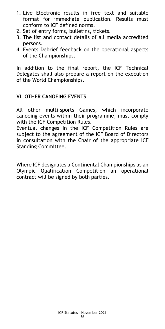- 1. Live Electronic results in free text and suitable format for immediate publication. Results must conform to ICF defined norms.
- 2. Set of entry forms, bulletins, tickets.
- 3. The list and contact details of all media accredited persons.
- 4. Events Debrief feedback on the operational aspects of the Championships.

In addition to the final report, the ICF Technical Delegates shall also prepare a report on the execution of the World Championships.

#### <span id="page-55-0"></span>**VI. OTHER CANOEING EVENTS**

All other multi-sports Games, which incorporate canoeing events within their programme, must comply with the ICF Competition Rules.

Eventual changes in the ICF Competition Rules are subject to the agreement of the ICF Board of Directors in consultation with the Chair of the appropriate ICF Standing Committee.

Where ICF designates a Continental Championships as an Olympic Qualification Competition an operational contract will be signed by both parties.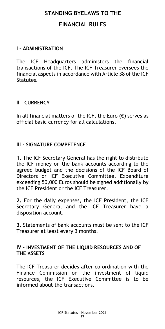# <span id="page-56-1"></span><span id="page-56-0"></span>**STANDING BYELAWS TO THE FINANCIAL RULES**

#### <span id="page-56-2"></span>**I – ADMINISTRATION**

The ICF Headquarters administers the financial transactions of the ICF. The ICF Treasurer oversees the financial aspects in accordance with Article 38 of the ICF Statutes.

#### <span id="page-56-3"></span>**II – CURRENCY**

In all financial matters of the ICF, the Euro **(€)** serves as official basic currency for all calculations.

#### <span id="page-56-4"></span>**III - SIGNATURE COMPETENCE**

**1.** The ICF Secretary General has the right to distribute the ICF money on the bank accounts according to the agreed budget and the decisions of the ICF Board of Directors or ICF Executive Committee. Expenditure exceeding 50,000 Euros should be signed additionally by the ICF President or the ICF Treasurer.

**2.** For the daily expenses, the ICF President, the ICF Secretary General and the ICF Treasurer have a disposition account.

**3.** Statements of bank accounts must be sent to the ICF Treasurer at least every 3 months.

#### <span id="page-56-5"></span>**IV - INVESTMENT OF THE LIQUID RESOURCES AND OF THE ASSETS**

The ICF Treasurer decides after co-ordination with the Finance Commission on the investment of liquid resources, the ICF Executive Committee is to be informed about the transactions.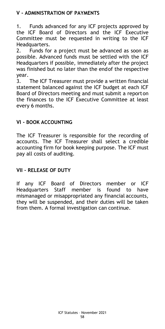# <span id="page-57-0"></span>**V - ADMINISTRATION OF PAYMENTS**

1. Funds advanced for any ICF projects approved by the ICF Board of Directors and the ICF Executive Committee must be requested in writing to the ICF Headquarters.

2. Funds for a project must be advanced as soon as possible. Advanced funds must be settled with the ICF Headquarters if possible, immediately after the project was finished but no later than the endof the respective year.

3. The ICF Treasurer must provide a written financial statement balanced against the ICF budget at each ICF Board of Directors meeting and must submit a reporton the finances to the ICF Executive Committee at least every 6 months.

#### <span id="page-57-1"></span>**VI - BOOK ACCOUNTING**

The ICF Treasurer is responsible for the recording of accounts. The ICF Treasurer shall select a credible accounting firm for book keeping purpose. The ICF must pay all costs of auditing.

#### <span id="page-57-2"></span>**VII – RELEASE OF DUTY**

If any ICF Board of Directors member or ICF Headquarters Staff member is found to have mismanaged or misappropriated any financial accounts, they will be suspended, and their duties will be taken from them. A formal investigation can continue.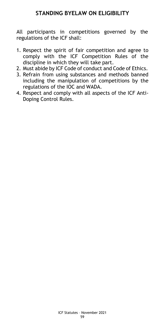# **STANDING BYELAW ON ELIGIBILITY**

<span id="page-58-0"></span>All participants in competitions governed by the regulations of the ICF shall:

- 1. Respect the spirit of fair competition and agree to comply with the ICF Competition Rules of the discipline in which they will take part.
- 2. Must abide by ICF Code of conduct and Code of Ethics.
- 3. Refrain from using substances and methods banned including the manipulation of competitions by the regulations of the IOC and WADA.
- 4. Respect and comply with all aspects of the ICF Anti-Doping Control Rules.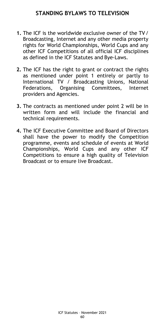- <span id="page-59-0"></span>**1.** The ICF is the worldwide exclusive owner of the TV/ Broadcasting, Internet and any other media property rights for World Championships, World Cups and any other ICF Competitions of all official ICF disciplines as defined in the ICF Statutes and Bye-Laws.
- **2.** The ICF has the right to grant or contract the rights as mentioned under point 1 entirely or partly to International TV / Broadcasting Unions, National Federations, Organising Committees, Internet providers and Agencies.
- **3.** The contracts as mentioned under point 2 will be in written form and will include the financial and technical requirements.
- **4.** The ICF Executive Committee and Board of Directors shall have the power to modify the Competition programme, events and schedule of events at World Championships, World Cups and any other ICF Competitions to ensure a high quality of Television Broadcast or to ensure live Broadcast.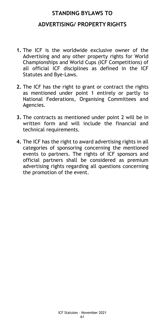# <span id="page-60-0"></span>**STANDING BYLAWS TO ADVERTISING/ PROPERTY RIGHTS**

- <span id="page-60-1"></span>**1.** The ICF is the worldwide exclusive owner of the Advertising and any other property rights for World Championships and World Cups (ICF Competitions) of all official ICF disciplines as defined in the ICF Statutes and Bye-Laws.
- **2.** The ICF has the right to grant or contract the rights as mentioned under point 1 entirely or partly to National Federations, Organising Committees and Agencies.
- **3.** The contracts as mentioned under point 2 will be in written form and will include the financial and technical requirements.
- **4.** The ICF has the right to award advertising rights in all categories of sponsoring concerning the mentioned events to partners. The rights of ICF sponsors and official partners shall be considered as premium advertising rights regarding all questions concerning the promotion of the event.